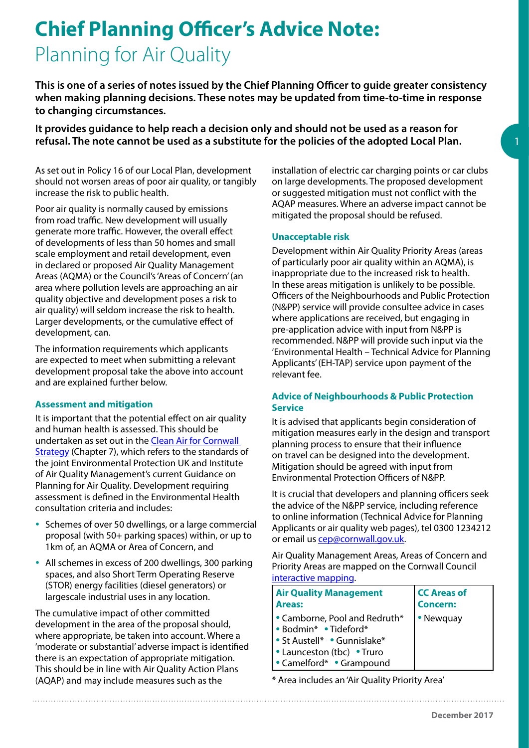# **Chief Planning Officer's Advice Note:** Planning for Air Quality

**This is one of a series of notes issued by the Chief Planning Officer to guide greater consistency when making planning decisions. These notes may be updated from time-to-time in response to changing circumstances.** 

**It provides guidance to help reach a decision only and should not be used as a reason for refusal. The note cannot be used as a substitute for the policies of the adopted Local Plan.** 

As set out in Policy 16 of our Local Plan, development should not worsen areas of poor air quality, or tangibly increase the risk to public health.

Poor air quality is normally caused by emissions from road traffic. New development will usually generate more traffic. However, the overall effect of developments of less than 50 homes and small scale employment and retail development, even in declared or proposed Air Quality Management Areas (AQMA) or the Council's 'Areas of Concern' (an area where pollution levels are approaching an air quality objective and development poses a risk to air quality) will seldom increase the risk to health. Larger developments, or the cumulative effect of development, can.

The information requirements which applicants are expected to meet when submitting a relevant development proposal take the above into account and are explained further below.

### **Assessment and mitigation**

It is important that the potential effect on air quality and human health is assessed. This should be undertaken as set out in the Clean Air for Cornwall [Strategy](https://www.cornwall.gov.uk/environment-and-planning/environmental-protection/environmental-protection-air-quality/clean-air-for-cornwall-strategy/) (Chapter 7), which refers to the standards of the joint Environmental Protection UK and Institute of Air Quality Management's current Guidance on Planning for Air Quality. Development requiring assessment is defined in the Environmental Health consultation criteria and includes:

- Schemes of over 50 dwellings, or a large commercial proposal (with 50+ parking spaces) within, or up to 1km of, an AQMA or Area of Concern, and
- All schemes in excess of 200 dwellings, 300 parking spaces, and also Short Term Operating Reserve (STOR) energy facilities (diesel generators) or largescale industrial uses in any location.

The cumulative impact of other committed development in the area of the proposal should, where appropriate, be taken into account. Where a 'moderate or substantial' adverse impact is identified there is an expectation of appropriate mitigation. This should be in line with Air Quality Action Plans (AQAP) and may include measures such as the

installation of electric car charging points or car clubs on large developments. The proposed development or suggested mitigation must not conflict with the AQAP measures. Where an adverse impact cannot be mitigated the proposal should be refused.

#### **Unacceptable risk**

Development within Air Quality Priority Areas (areas of particularly poor air quality within an AQMA), is inappropriate due to the increased risk to health. In these areas mitigation is unlikely to be possible. Officers of the Neighbourhoods and Public Protection (N&PP) service will provide consultee advice in cases where applications are received, but engaging in pre-application advice with input from N&PP is recommended. N&PP will provide such input via the 'Environmental Health – Technical Advice for Planning Applicants' (EH-TAP) service upon payment of the relevant fee.

#### **Advice of Neighbourhoods & Public Protection Service**

It is advised that applicants begin consideration of mitigation measures early in the design and transport planning process to ensure that their influence on travel can be designed into the development. Mitigation should be agreed with input from Environmental Protection Officers of N&PP.

It is crucial that developers and planning officers seek the advice of the N&PP service, including reference to online information (Technical Advice for Planning Applicants or air quality web pages), tel 0300 1234212 or email us [cep@cornwall.gov.uk.](mailto:cep%40cornwall.gov.uk?subject=Advice)

Air Quality Management Areas, Areas of Concern and Priority Areas are mapped on the Cornwall Council [interactive mapping.](https://www.cornwall.gov.uk/community-and-living/mapping/)

| <b>Air Quality Management</b>                                                                                                                                         | <b>CC Areas of</b> |
|-----------------------------------------------------------------------------------------------------------------------------------------------------------------------|--------------------|
| <b>Areas:</b>                                                                                                                                                         | <b>Concern:</b>    |
| $\cdot$ Camborne, Pool and Redruth*<br>  • Bodmin*   • Tideford*<br>l • St Austell*   • Gunnislake*<br>$\cdot$ Launceston (tbc) $\cdot$ Truro<br>Camelford* Grampound | • Newquay          |

\* Area includes an 'Air Quality Priority Area'